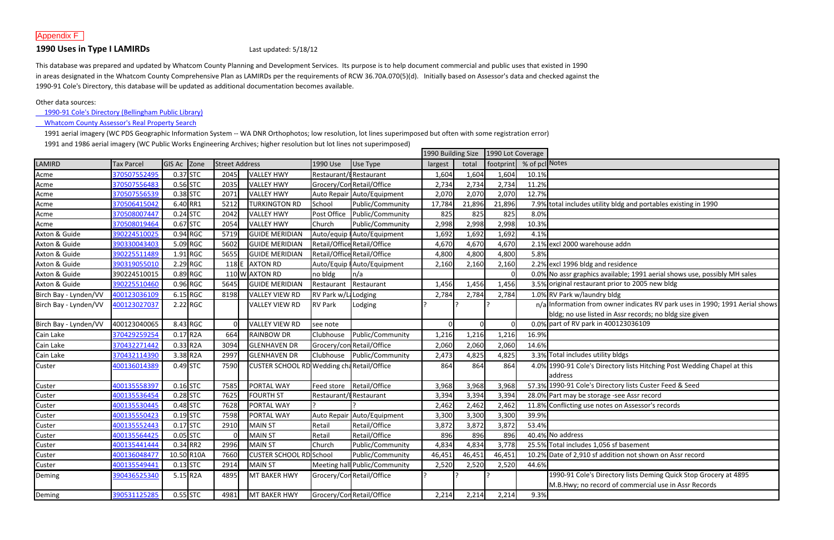This database was prepared and updated by Whatcom County Planning and Development Services. Its purpose is to help document commercial and public uses that existed in 1990 in areas designated in the Whatcom County Comprehensive Plan as LAMIRDs per the requirements of RCW 36.70A.070(5)(d). Initially based on Assessor's data and checked against the 1990-91 Cole's Directory, this database will be updated as additional documentation becomes available.

### Other data sources:

 [1990-91 Cole's Directory \(Bellingham Public Library\)](http://www.whatcomcounty.us/pds/plan/long/projects/lamird/pdf/1990-91ColesDirectory.pdf)

## **Whatcom County Assessor's Real Property Search**

 1991 aerial imagery (WC PDS Geographic Information System -- WA DNR Orthophotos; low resolution, lot lines superimposed but often with some registration error) 1991 and 1986 aerial imagery (WC Public Works Engineering Archives; higher resolution but lot lines not superimposed)

|                       |                   |             |                         |                |                                            |                         |                               | 1990 Building Size |        | 1990 Lot Coverage |                |                                                      |
|-----------------------|-------------------|-------------|-------------------------|----------------|--------------------------------------------|-------------------------|-------------------------------|--------------------|--------|-------------------|----------------|------------------------------------------------------|
| <b>LAMIRD</b>         | <b>Tax Parcel</b> | GIS Ac Zone |                         | Street Address |                                            | 1990 Use                | Use Type                      | largest            | total  | footprint         | % of pcl Notes |                                                      |
| Acme                  | 370507552495      | $0.37$ STC  |                         | 2045           | <b>VALLEY HWY</b>                          | Restaurant/ERestaurant  |                               | 1,604              | 1,604  | 1,604             | 10.1%          |                                                      |
| Acme                  | 370507556483      |             | $0.56$ STC              | 2035           | <b>VALLEY HWY</b>                          |                         | Grocery/Con Retail/Office     | 2,734              | 2,734  | 2,734             | 11.2%          |                                                      |
| Acme                  | 370507556539      | $0.38$ STC  |                         | 2071           | <b>VALLEY HWY</b>                          |                         | Auto Repair Auto/Equipment    | 2,070              | 2,070  | 2,070             | 12.7%          |                                                      |
| Acme                  | 370506415042      | $6.40$ RR1  |                         | 5212           | <b>TURKINGTON RD</b>                       | School                  | Public/Community              | 17,784             | 21,896 | 21,896            |                | 7.9% total includes utility bldg and portables exist |
| Acme                  | 370508007447      | $0.24$ STC  |                         | 2042           | <b>VALLEY HWY</b>                          | Post Office             | Public/Community              | 825                | 825    | 825               | 8.0%           |                                                      |
| Acme                  | 370508019464      | $0.67$ STC  |                         | 2054           | <b>VALLEY HWY</b>                          | Church                  | Public/Community              | 2,998              | 2,998  | 2,998             | 10.3%          |                                                      |
| Axton & Guide         | 390224510025      |             | $0.94$ RGC              | 5719           | <b>GUIDE MERIDIAN</b>                      |                         | Auto/equip   Auto/Equipment   | 1,692              | 1,692  | 1,692             | 4.1%           |                                                      |
| Axton & Guide         | 390330043403      |             | $5.09$ RGC              | 5602           | <b>GUIDE MERIDIAN</b>                      |                         | Retail/Office Retail/Office   | 4,670              | 4,670  | 4,670             |                | 2.1% excl 2000 warehouse addn                        |
| Axton & Guide         | 390225511489      |             | $1.91$ RGC              | 5655           | <b>GUIDE MERIDIAN</b>                      |                         | Retail/Office Retail/Office   | 4,800              | 4,800  | 4,800             | 5.8%           |                                                      |
| Axton & Guide         | 390319055010      |             | $2.29$ RGC              | $118$ E        | <b>AXTON RD</b>                            | Auto/Equip              | <b>f</b> Auto/Equipment       | 2,160              | 2,160  | 2,160             |                | 2.2% excl 1996 bldg and residence                    |
| Axton & Guide         | 390224510015      |             | $0.89$ RGC              |                | 110 W AXTON RD                             | no bldg                 | $\ln/a$                       |                    |        | $\Omega$          |                | 0.0% No assr graphics available; 1991 aerial show    |
| Axton & Guide         | 390225510460      |             | $0.96$ RGC              | 5645           | <b>GUIDE MERIDIAN</b>                      | Restaurant              | Restaurant                    | 1,456              | 1,456  | 1,456             |                | 3.5% original restaurant prior to 2005 new bldg      |
| Birch Bay - Lynden/VV | 400123036109      |             | $6.15$ RGC              | 8198           | <b>VALLEY VIEW RD</b>                      | RV Park w/La Lodging    |                               | 2,784              | 2,784  | 2,784             |                | 1.0% RV Park w/laundry bldg                          |
| Birch Bay - Lynden/VV | 400123027037      |             | $2.22$ RGC              |                | <b>VALLEY VIEW RD</b>                      | <b>RV Park</b>          | Lodging                       |                    |        |                   |                | n/a Information from owner indicates RV park         |
|                       |                   |             |                         |                |                                            |                         |                               |                    |        |                   |                | bldg; no use listed in Assr records; no bldg         |
| Birch Bay - Lynden/VV | 400123040065      |             | 8.43 RGC                | 0              | <b>VALLEY VIEW RD</b>                      | see note                |                               | $\vert 0 \vert$    |        | $\Omega$          |                | 0.0% part of RV park in 400123036109                 |
| Cain Lake             | 370429259254      |             | $0.17$ R2A              | 664            | <b>RAINBOW DR</b>                          | Clubhouse               | Public/Community              | 1,216              | 1,216  | 1,216             | 16.9%          |                                                      |
| Cain Lake             | 370432271442      |             | $0.33$ R <sub>2</sub> A | 3094           | <b>GLENHAVEN DR</b>                        |                         | Grocery/con Retail/Office     | 2,060              | 2,060  | 2,060             | 14.6%          |                                                      |
| Cain Lake             | 370432114390      |             | 3.38 R2A                | 2997           | <b>GLENHAVEN DR</b>                        | Clubhouse               | Public/Community              | 2,473              | 4,825  | 4,825             |                | 3.3% Total includes utility bldgs                    |
| Custer                | 400136014389      |             | $0.49$ STC              | 7590           | CUSTER SCHOOL RD Wedding cha Retail/Office |                         |                               | 864                | 864    | 864               |                | 4.0% 1990-91 Cole's Directory lists Hitching Post    |
|                       |                   |             |                         |                |                                            |                         |                               |                    |        |                   |                | address                                              |
| Custer                | 400135558397      | $0.16$ STC  |                         | 7585           | PORTAL WAY                                 | Feed store              | Retail/Office                 | 3,968              | 3,968  | 3,968             |                | 57.3% 1990-91 Cole's Directory lists Custer Feed &   |
| Custer                | 400135536454      | $0.28$ STC  |                         | 7625           | <b>FOURTH ST</b>                           | Restaurant/I Restaurant |                               | 3,394              | 3,394  | 3,394             |                | 28.0% Part may be storage -see Assr record           |
| Custer                | 400135530445      | $0.48$ STC  |                         | 7628           | PORTAL WAY                                 |                         |                               | 2,462              | 2,462  | 2,462             |                | 11.8% Conflicting use notes on Assessor's records    |
| Custer                | 400135550423      | $0.19$ STC  |                         | 7598           | PORTAL WAY                                 |                         | Auto Repair Auto/Equipment    | 3,300              | 3,300  | 3,300             | 39.9%          |                                                      |
| Custer                | 400135552443      | $0.17$ STC  |                         | 2910           | <b>MAIN ST</b>                             | Retail                  | Retail/Office                 | 3,872              | 3,872  | 3,872             | 53.4%          |                                                      |
| Custer                | 400135564425      | $0.05$ STC  |                         |                | <b>MAIN ST</b>                             | Retail                  | Retail/Office                 | 896                | 896    | 896               |                | 40.4% No address                                     |
| Custer                | 400135441444      |             | $0.34$ <sub>RR2</sub>   | 2996           | <b>MAIN ST</b>                             | Church                  | Public/Community              | 4,834              | 4,834  | 3,778             |                | 25.5% Total includes 1,056 sf basement               |
| Custer                | 400136048477      | 10.50 R10A  |                         | 7660           | <b>CUSTER SCHOOL RD School</b>             |                         | Public/Community              | 46,451             | 46,451 | 46,451            |                | 10.2% Date of 2,910 sf addition not shown on Ass     |
| Custer                | 400135549441      | $0.13$ STC  |                         | 2914           | <b>MAIN ST</b>                             |                         | Meeting hall Public/Community | 2,520              | 2,520  | 2,520             | 44.6%          |                                                      |
| Deming                | 390436525340      |             | $5.15$ R2A              | 4895           | <b>MT BAKER HWY</b>                        |                         | Grocery/Con Retail/Office     |                    |        |                   |                | 1990-91 Cole's Directory lists Deming Quic           |
|                       |                   |             |                         |                |                                            |                         |                               |                    |        |                   |                | M.B.Hwy; no record of commercial use in /            |
| Deming                | 390531125285      | $0.55$ STC  |                         | 4981           | MT BAKER HWY                               |                         | Grocery/Con Retail/Office     | 2,214              | 2,214  | 2,214             | 9.3%           |                                                      |

## oldg and portables existing in 1990

lable; 1991 aerial shows use, possibly MH sales

mer indicates RV park uses in 1990; 1991 Aerial shows Assr records; no bldg size given

tory lists Hitching Post Wedding Chapel at this

tory lists Custer Feed & Seed

tion not shown on Assr record

tory lists Deming Quick Stop Grocery at 4895 of commercial use in Assr Records

# Appendix F

## **1990 Uses in Type I LAMIRDs** Last updated: 5/18/12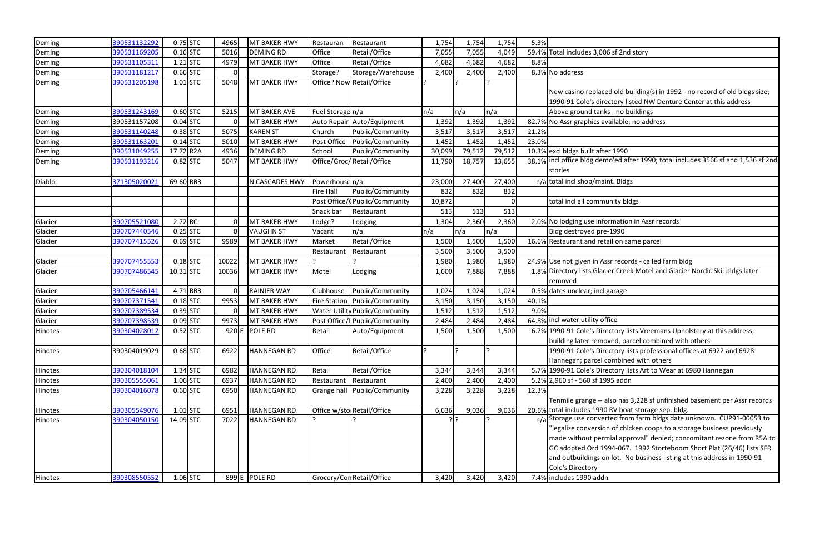| Deming         | 390531132292 | $0.75$ STC  |            | 4965            | MT BAKER HWY        | Restauran          | Restaurant                     | 1,754  | 1,754  | 1,754  | 5.3%                                                                                     |
|----------------|--------------|-------------|------------|-----------------|---------------------|--------------------|--------------------------------|--------|--------|--------|------------------------------------------------------------------------------------------|
| Deming         | 390531169205 | $0.16$ STC  |            | 5016            | <b>DEMING RD</b>    | Office             | Retail/Office                  | 7,055  | 7,055  | 4,049  | 59.4% Total includes 3,006 sf 2nd story                                                  |
| Deming         | 390531105311 | $1.21$ STC  |            | 4979            | <b>MT BAKER HWY</b> | Office             | Retail/Office                  | 4,682  | 4,682  | 4,682  | 8.8%                                                                                     |
| Deming         | 390531181217 | $0.66$ STC  |            | $\vert 0 \vert$ |                     | Storage?           | Storage/Warehouse              | 2,400  | 2,400  | 2,400  | 8.3% No address                                                                          |
| Deming         | 390531205198 |             | $1.01$ STC | 5048            | MT BAKER HWY        |                    | Office? Now Retail/Office      |        |        |        | New casino replaced old building(s) in 199.<br>1990-91 Cole's directory listed NW Dentur |
| Deming         | 390531243169 | $0.60$ STC  |            | 5215            | MT BAKER AVE        | Fuel Storage n/a   |                                | n/a    | n/a    | n/a    | Above ground tanks - no buildings                                                        |
| Deming         | 390531157208 | $0.04$ STC  |            | $\Omega$        | MT BAKER HWY        |                    | Auto Repair Auto/Equipment     | 1,392  | 1,392  | 1,392  | 82.7% No Assr graphics available; no address                                             |
| Deming         | 390531140248 |             | $0.38$ STC | 5075            | <b>KAREN ST</b>     | Church             | Public/Community               | 3,517  | 3,517  | 3,517  | 21.2%                                                                                    |
| Deming         | 390531163201 | $0.14$ STC  |            | 5010            | MT BAKER HWY        | Post Office        | Public/Community               | 1,452  | 1,452  | 1,452  | 23.0%                                                                                    |
| Deming         | 390531049255 | 17.72 R2A   |            | 4936            | <b>DEMING RD</b>    | School             | Public/Community               | 30,099 | 79,512 | 79,512 | 10.3% excl bldgs built after 1990                                                        |
| Deming         | 390531193216 |             | $0.82$ STC | 5047            | MT BAKER HWY        |                    | Office/Groc/Retail/Office      | 11,790 | 18,757 | 13,655 | 38.1% incl office bldg demo'ed after 1990; total in<br>stories                           |
| Diablo         | 371305020021 | 69.60 RR3   |            |                 | N CASCADES HWY      | Powerhousen/a      |                                | 23,000 | 27,400 | 27,400 | n/a total incl shop/maint. Bldgs                                                         |
|                |              |             |            |                 |                     | Fire Hall          | Public/Community               | 832    | 832    | 832    |                                                                                          |
|                |              |             |            |                 |                     | Post Office/       | /CPublic/Community             | 10,872 |        |        | total incl all community bldgs                                                           |
|                |              |             |            |                 |                     | Snack bar          | Restaurant                     | 513    | 513    | 513    |                                                                                          |
| Glacier        | 390705521080 | $2.72$ RC   |            | $\Omega$        | MT BAKER HWY        | Lodge?             | Lodging                        | 1,304  | 2,360  | 2,360  | 2.0% No lodging use information in Assr records                                          |
| Glacier        | 390707440546 | $0.25$ STC  |            | $\Omega$        | <b>VAUGHN ST</b>    | Vacant             | $\ln/a$                        | n/a    | n/a    | n/a    | Bldg destroyed pre-1990                                                                  |
| Glacier        | 390707415526 | $0.69$ STC  |            | 9989            | MT BAKER HWY        | Market             | Retail/Office                  | 1,500  | 1,500  | 1,500  | 16.6% Restaurant and retail on same parcel                                               |
|                |              |             |            |                 |                     | Restaurant         | Restaurant                     | 3,500  | 3,500  | 3,500  |                                                                                          |
| Glacier        | 390707455553 | $0.18$ STC  |            | 10022           | MT BAKER HWY        |                    |                                | 1,980  | 1,980  | 1,980  | 24.9% Use not given in Assr records - called farm                                        |
| Glacier        | 390707486545 | $10.31$ STC |            | 10036           | MT BAKER HWY        | Motel              | Lodging                        | 1,600  | 7,888  | 7,888  | 1.8% Directory lists Glacier Creek Motel and Gla                                         |
|                |              |             |            |                 |                     |                    |                                |        |        |        | removed                                                                                  |
| Glacier        | 390705466141 |             | $4.71$ RR3 | $\Omega$        | <b>RAINIER WAY</b>  | Clubhouse          | Public/Community               | 1,024  | 1,024  | 1,024  | 0.5% dates unclear; incl garage                                                          |
| Glacier        | 390707371541 | $0.18$ STC  |            | 9953            | MT BAKER HWY        |                    | Fire Station Public/Community  | 3,150  | 3,150  | 3,150  | 40.1%                                                                                    |
| Glacier        | 390707389534 |             | $0.39$ STC |                 | MT BAKER HWY        |                    | Water Utility Public/Community | 1,512  | 1,512  | 1,512  | 9.0%                                                                                     |
| Glacier        | 390707398539 |             | $0.09$ STC | 9973            | MT BAKER HWY        |                    | Post Office/I Public/Community | 2,484  | 2,484  | 2,484  | 64.8% incl water utility office                                                          |
| Hinotes        | 390304028012 | $0.52$ STC  |            |                 | 920E POLE RD        | Retail             | Auto/Equipment                 | 1,500  | 1,500  | 1,500  | 6.7% 1990-91 Cole's Directory lists Vreemans Up                                          |
|                |              |             |            |                 |                     |                    |                                |        |        |        | building later removed, parcel combined w                                                |
| Hinotes        | 390304019029 |             | $0.68$ STC | 6922            | <b>HANNEGAN RD</b>  | Office             | Retail/Office                  | 2      |        |        | 1990-91 Cole's Directory lists professional                                              |
|                |              |             |            |                 |                     |                    |                                |        |        |        | Hannegan; parcel combined with others                                                    |
| Hinotes        | 390304018104 |             | $1.34$ STC | 6982            | <b>HANNEGAN RD</b>  | Retail             | Retail/Office                  | 3,344  | 3,344  | 3,344  | 5.7% 1990-91 Cole's Directory lists Art to Wear                                          |
| Hinotes        | 390305555061 |             | $1.06$ STC | 6937            | <b>HANNEGAN RD</b>  | Restaurant         | Restaurant                     | 2,400  | 2,400  | 2,400  | 5.2% 2,960 sf - 560 sf 1995 addn                                                         |
| Hinotes        | 390304016078 |             | $0.60$ STC | 6950            | <b>HANNEGAN RD</b>  | <b>Grange hall</b> | Public/Community               | 3,228  | 3,228  | 3,228  | 12.3%                                                                                    |
|                |              |             |            |                 |                     |                    |                                |        |        |        | Tenmile grange -- also has 3,228 sf unfinish                                             |
| Hinotes        | 390305549076 |             | $1.01$ STC | 6951            | <b>HANNEGAN RD</b>  |                    | Office w/sto Retail/Office     | 6,636  | 9,036  | 9,036  | 20.6% total includes 1990 RV boat storage sep. bl                                        |
| <b>Hinotes</b> | 390304050150 | 14.09 STC   |            | 7022            | <b>HANNEGAN RD</b>  |                    |                                |        |        |        | n/a Storage use converted from farm bldgs dat                                            |
|                |              |             |            |                 |                     |                    |                                |        |        |        | 'legalize conversion of chicken coops to a                                               |
|                |              |             |            |                 |                     |                    |                                |        |        |        | made without permial approval" denied; c                                                 |
|                |              |             |            |                 |                     |                    |                                |        |        |        | GC adopted Ord 1994-067. 1992 Stortebo                                                   |
|                |              |             |            |                 |                     |                    |                                |        |        |        | and outbuildings on lot. No business listing                                             |
|                |              |             |            |                 |                     |                    |                                |        |        |        | Cole's Directory                                                                         |
| Hinotes        | 390308550552 |             | $1.06$ STC |                 | 899E POLE RD        |                    | Grocery/Con Retail/Office      | 3,420  | 3,420  | 3,420  | 7.4% includes 1990 addn                                                                  |

d old building(s) in 1992 - no record of old bldgs size; ttory listed NW Denture Center at this address

Ded after 1990; total includes 3566 sf and 1,536 sf 2nd

r records - called farm bldg

er Creek Motel and Glacier Nordic Ski; bldgs later

ctory lists Vreemans Upholstery at this address; ed, parcel combined with others

ctory lists professional offices at 6922 and 6928 mbined with others

ctory lists Art to Wear at 6980 Hannegan

so has 3,228 sf unfinished basement per Assr records RV boat storage sep. bldg.

ed from farm bldgs date unknown. CUP91-00053 to of chicken coops to a storage business previously ial approval" denied; concomitant rezone from R5A to 94-067. 1992 Storteboom Short Plat (26/46) lists SFR lot. No business listing at this address in 1990-91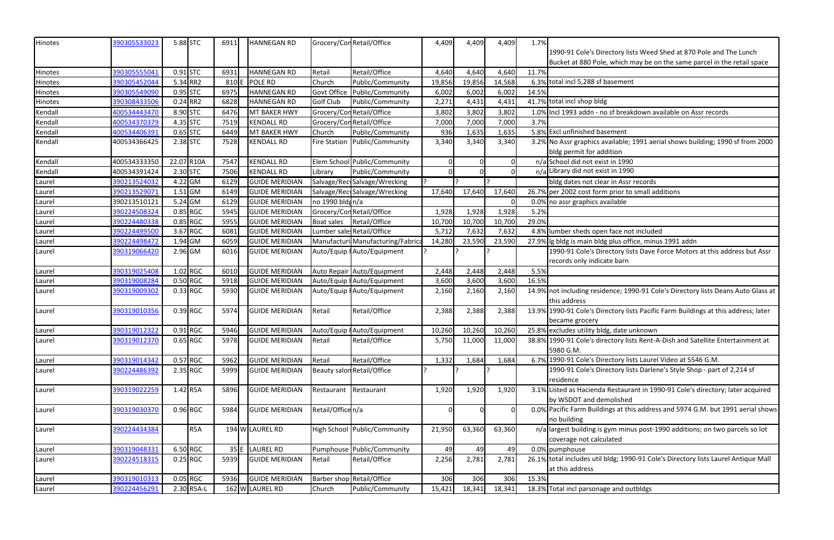| Hinotes        | 390305533023 | $5.88$ STC            | 6911 | HANNEGAN RD           |                       | Grocery/ConRetail/Office          | 4,409    | 4,409  | 4,409    | 1.7%  |                                               |
|----------------|--------------|-----------------------|------|-----------------------|-----------------------|-----------------------------------|----------|--------|----------|-------|-----------------------------------------------|
|                |              |                       |      |                       |                       |                                   |          |        |          |       | 1990-91 Cole's Directory lists Weed 9         |
|                |              |                       |      |                       |                       |                                   |          |        |          |       | Bucket at 880 Pole, which may be on           |
| <b>Hinotes</b> | 390305555041 | $0.91$ STC            | 6931 | <b>HANNEGAN RD</b>    | Retail                | Retail/Office                     | 4,640    | 4,640  | 4,640    | 11.7% |                                               |
| Hinotes        | 390305452044 | 5.34 RR2              | 810E | <b>POLE RD</b>        | Church                | Public/Community                  | 19,856   | 19,856 | 14,568   |       | 6.3% total incl 5,288 sf basement             |
| Hinotes        | 390305549090 | $0.95$ STC            | 6975 | HANNEGAN RD           | <b>Govt Office</b>    | Public/Community                  | 6,002    | 6,002  | 6,002    | 14.5% |                                               |
| Hinotes        | 390308433506 | $0.24$ RR2            | 6828 | <b>HANNEGAN RD</b>    | <b>Golf Club</b>      | Public/Community                  | 2,271    | 4,431  | 4,431    |       | 41.7% total incl shop bldg                    |
| Kendall        | 400534443470 | 8.90 STC              | 6476 | MT BAKER HWY          |                       | Grocery/Con Retail/Office         | 3,802    | 3,802  | 3,802    |       | 1.0% Incl 1993 addn - no sf breakdown ava     |
| Kendall        | 400534370379 | $4.35$ STC            | 7519 | <b>KENDALL RD</b>     |                       | Grocery/Con Retail/Office         | 7,000    | 7,000  | 7,000    | 3.7%  |                                               |
| Kendall        | 400534406391 | $0.65$ STC            | 6449 | <b>MT BAKER HWY</b>   | Church                | Public/Community                  | 936      | 1,635  | 1,635    |       | 5.8% Excl unfinished basement                 |
| Kendall        | 400534366425 | $2.38$ STC            | 7528 | <b>KENDALL RD</b>     |                       | Fire Station   Public/Community   | 3,340    | 3,340  | 3,340    |       | 3.2% No Assr graphics available; 1991 aeria   |
|                |              |                       |      |                       |                       |                                   |          |        |          |       | bldg permit for addition                      |
| Kendall        | 400534333350 | 22.07 R10A            | 7547 | <b>KENDALL RD</b>     |                       | Elem School Public/Community      | $\Omega$ |        | $\Omega$ |       | n/a School did not exist in 1990              |
| Kendall        | 400534391424 | $2.30$ STC            | 7506 | <b>KENDALL RD</b>     | Library               | Public/Community                  |          |        | $\Omega$ |       | $n/a$ Library did not exist in 1990           |
| Laurel         | 390213524032 | $4.22$ GM             | 6129 | <b>GUIDE MERIDIAN</b> |                       | Salvage/RecySalvage/Wrecking      |          | 12.    | כו       |       | bldg dates not clear in Assr records          |
| Laurel         | 390213529071 | $1.51$ GM             | 6149 | <b>GUIDE MERIDIAN</b> |                       | Salvage/RecySalvage/Wrecking      | 17,640   | 17,640 | 17,640   |       | 26.7% per 2002 cost form prior to small add   |
| Laurel         | 390213510121 | $5.24$ GM             | 6129 | <b>GUIDE MERIDIAN</b> | no 1990 bldgn/a       |                                   |          |        | $\Omega$ |       | 0.0% no assr graphics available               |
| Laurel         | 390224508324 | $0.85$ RGC            | 5945 | <b>GUIDE MERIDIAN</b> |                       | Grocery/Con Retail/Office         | 1,928    | 1,928  | 1,928    | 5.2%  |                                               |
| Laurel         | 390224480338 | $0.85$ <sub>RGC</sub> | 5955 | <b>GUIDE MERIDIAN</b> | <b>Boat sales</b>     | Retail/Office                     | 10,700   | 10,700 | 10,700   | 29.0% |                                               |
| Laurel         | 390224499500 | 3.67 RGC              | 6081 | <b>GUIDE MERIDIAN</b> |                       | Lumber sale: Retail/Office        | 5,712    | 7,632  | 7,632    |       | 4.8% lumber sheds open face not included      |
| Laurel         | 390224498472 | $1.94$ GM             | 6059 | <b>GUIDE MERIDIAN</b> |                       | Manufacturi Manufacturing/Fabrica | 14,280   | 23,590 | 23,590   |       | 27.9% Ig bldg is main bldg plus office, minus |
| Laurel         | 390319066420 | $2.96$ GM             | 6016 | <b>GUIDE MERIDIAN</b> |                       | Auto/Equip   Auto/Equipment       |          |        |          |       | 1990-91 Cole's Directory lists Dave Fo        |
|                |              |                       |      |                       |                       |                                   |          |        |          |       | records only indicate barn                    |
| Laurel         | 390319025408 | $1.02$ RGC            | 6010 | <b>GUIDE MERIDIAN</b> |                       | Auto Repair Auto/Equipment        | 2,448    | 2,448  | 2,448    | 5.5%  |                                               |
| Laurel         | 390319008284 | $0.50$ RGC            | 5918 | <b>GUIDE MERIDIAN</b> |                       | Auto/Equip HAuto/Equipment        | 3,600    | 3,600  | 3,600    | 16.5% |                                               |
| Laurel         | 390319009302 | $0.33$ RGC            | 5930 | <b>GUIDE MERIDIAN</b> |                       | Auto/Equip HAuto/Equipment        | 2,160    | 2,160  | 2,160    |       | 14.9% not including residence; 1990-91 Col    |
|                |              |                       |      |                       |                       |                                   |          |        |          |       | this address                                  |
| Laurel         | 390319010356 | $0.39$ RGC            | 5974 | <b>GUIDE MERIDIAN</b> | Retail                | Retail/Office                     | 2,388    | 2,388  | 2,388    |       | 13.9% 1990-91 Cole's Directory lists Pacific  |
|                |              |                       |      |                       |                       |                                   |          |        |          |       | became grocery                                |
| Laurel         | 390319012322 | $0.91$ RGC            | 5946 | <b>GUIDE MERIDIAN</b> |                       | Auto/Equip   Auto/Equipment       | 10,260   | 10,260 | 10,260   |       | 25.8% excludes utility bldg, date unknown     |
| Laurel         | 390319012370 | $0.65$ <sub>RGC</sub> | 5978 | <b>GUIDE MERIDIAN</b> | Retail                | Retail/Office                     | 5,750    | 11,000 | 11,000   |       | 38.8% 1990-91 Cole's directory lists Rent-A-  |
|                |              |                       |      |                       |                       |                                   |          |        |          |       | 5980 G.M.                                     |
| Laurel         | 390319014342 | $0.57$ RGC            | 5962 | <b>GUIDE MERIDIAN</b> | Retail                | Retail/Office                     | 1,332    | 1,684  | 1,684    |       | 6.7% 1990-91 Cole's Directory lists Laurel    |
| Laurel         | 390224486392 | $2.35$ RGC            | 5999 | <b>GUIDE MERIDIAN</b> |                       | Beauty salon Retail/Office        |          | 12     |          |       | 1990-91 Cole's Directory lists Darlene        |
|                |              |                       |      |                       |                       |                                   |          |        |          |       | residence                                     |
| Laurel         | 390319022259 | $1.42$ R5A            | 5896 | <b>GUIDE MERIDIAN</b> | Restaurant Restaurant |                                   | 1,920    | 1,920  | 1,920    |       | 3.1% Listed as Hacienda Restaurant in 199     |
|                |              |                       |      |                       |                       |                                   |          |        |          |       | by WSDOT and demolished                       |
| Laurel         | 390319030370 | $0.96$ RGC            | 5984 | <b>GUIDE MERIDIAN</b> | Retail/Officen/a      |                                   | $\Omega$ |        | $\Omega$ |       | 0.0% Pacific Farm Buildings at this address   |
|                |              |                       |      |                       |                       |                                   |          |        |          |       | no building                                   |
| Laurel         | 390224434384 | R <sub>5</sub> A      |      | 194 W LAUREL RD       |                       | High School Public/Community      | 21,950   | 63,360 | 63,360   |       | n/a largest building is gym minus post-19     |
|                |              |                       |      |                       |                       |                                   |          |        |          |       | coverage not calculated                       |
| Laurel         | 390319048331 | $6.50$ RGC            |      | 35 E LAUREL RD        |                       | Pumphouse Public/Community        | 49       | 49     | 49       |       | 0.0% pumphouse                                |
| Laurel         | 390224518315 | $0.25$ RGC            | 5939 | <b>GUIDE MERIDIAN</b> | Retail                | Retail/Office                     | 2,256    | 2,781  | 2,781    |       | 26.1% total includes util bldg; 1990-91 Cole  |
|                |              |                       |      |                       |                       |                                   |          |        |          |       | at this address                               |
| Laurel         | 390319010313 | $0.05$ RGC            | 5936 | <b>GUIDE MERIDIAN</b> |                       | Barber shop Retail/Office         | 306      | 306    | 306      | 15.3% |                                               |
| Laurel         | 390224456291 | $2.30$ R5A-L          |      | 162 WLAUREL RD        | Church                | Public/Community                  | 15,421   | 18,341 | 18,341   |       | 18.3% Total incl parsonage and outbidgs       |
|                |              |                       |      |                       |                       |                                   |          |        |          |       |                                               |

ttory lists Weed Shed at 870 Pole and The Lunch which may be on the same parcel in the retail space

sf breakdown available on Assr records

ailable; 1991 aerial shows building; 1990 sf from 2000 tion

prior to small additions

plus office, minus 1991 addn

tory lists Dave Force Motors at this address but Assr e barn

nce; 1990-91 Cole's Directory lists Deans Auto Glass at

ctory lists Pacific Farm Buildings at this address; later

ctory lists Rent-A-Dish and Satellite Entertainment at

ctory lists Laurel Video at 5546 G.M. ctory lists Darlene's Style Shop - part of 2,214 sf

estaurant in 1990-91 Cole's directory; later acquired olished

gs at this address and 5974 G.M. but 1991 aerial shows

m minus post-1990 additions; on two parcels so lot ated

dg; 1990-91 Cole's Directory lists Laurel Antique Mall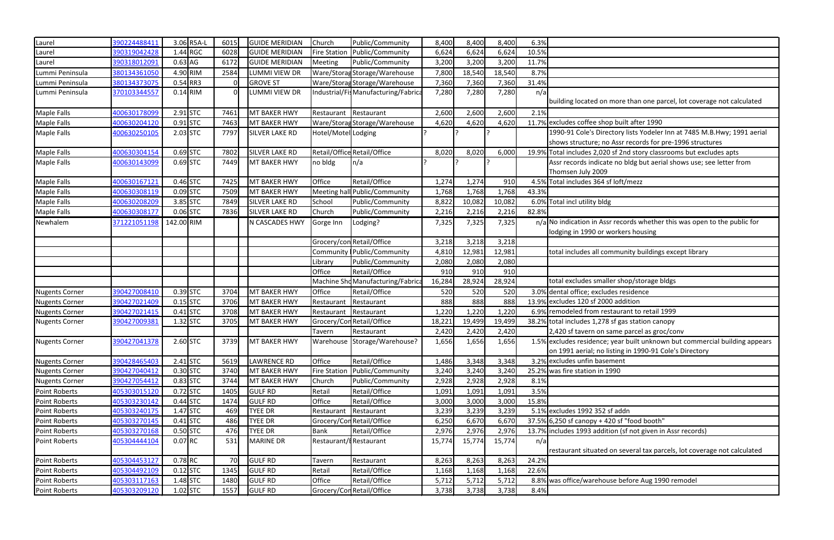| Laurel                | 390224488411 |            | 3.06 R5A-L | 6015 | <b>GUIDE MERIDIAN</b> | Church                 | Public/Community                    | 8,400  | 8,400  | 8,400  | 6.3%  |                                               |
|-----------------------|--------------|------------|------------|------|-----------------------|------------------------|-------------------------------------|--------|--------|--------|-------|-----------------------------------------------|
| Laurel                | 390319042428 |            | $1.44$ RGC | 6028 | <b>GUIDE MERIDIAN</b> | <b>Fire Station</b>    | Public/Community                    | 6,624  | 6,624  | 6,624  | 10.5% |                                               |
| Laurel                | 390318012091 | $0.63$ AG  |            | 6172 | <b>GUIDE MERIDIAN</b> | Meeting                | Public/Community                    | 3,200  | 3,200  | 3,200  | 11.7% |                                               |
| Lummi Peninsula       | 380134361050 |            | 4.90 RIM   | 2584 | LUMMI VIEW DR         |                        | Ware/StoragStorage/Warehouse        | 7,800  | 18,540 | 18,540 | 8.7%  |                                               |
| Lummi Peninsula       | 380134373075 |            | $0.54$ RR3 |      | <b>GROVE ST</b>       |                        | Ware/Storag Storage/Warehouse       | 7,360  | 7,360  | 7,360  | 31.4% |                                               |
| Lummi Peninsula       | 370103344557 |            | $0.14$ RIM | 01   | LUMMI VIEW DR         |                        | Industrial/FisManufacturing/Fabrica | 7,280  | 7,280  | 7,280  | n/a   |                                               |
|                       |              |            |            |      |                       |                        |                                     |        |        |        |       | building located on more than one pa          |
| Maple Falls           | 400630178099 |            | $2.91$ STC | 7461 | <b>MT BAKER HWY</b>   | Restaurant             | Restaurant                          | 2,600  | 2,600  | 2,600  | 2.1%  |                                               |
| Maple Falls           | 400630204120 | $0.91$ STC |            | 7463 | <b>MT BAKER HWY</b>   |                        | Ware/StoragStorage/Warehouse        | 4,620  | 4,620  | 4,620  |       | 11.7% excludes coffee shop built after 1990   |
| Maple Falls           | 400630250105 |            | $2.03$ STC | 7797 | <b>SILVER LAKE RD</b> | Hotel/Motel Lodging    |                                     |        |        |        |       | 1990-91 Cole's Directory lists Yodeler        |
|                       |              |            |            |      |                       |                        |                                     |        |        |        |       | shows structure; no Assr records for p        |
| Maple Falls           | 400630304154 |            | $0.69$ STC | 7802 | <b>SILVER LAKE RD</b> |                        | Retail/Office Retail/Office         | 8,020  | 8,020  | 6,000  |       | 19.9% Total includes 2,020 sf 2nd story class |
| Maple Falls           | 400630143099 |            | $0.69$ STC | 7449 | <b>MT BAKER HWY</b>   | no bldg                | n/a                                 |        |        |        |       | Assr records indicate no bldg but aeria       |
|                       |              |            |            |      |                       |                        |                                     |        |        |        |       | Thomsen July 2009                             |
| Maple Falls           | 400630167121 | $0.46$ STC |            | 7425 | MT BAKER HWY          | Office                 | Retail/Office                       | 1,274  | 1,274  | 910    |       | 4.5% Total includes 364 sf loft/mezz          |
| Maple Falls           | 400630308119 | $0.09$ STC |            | 7509 | <b>MT BAKER HWY</b>   |                        | Meeting hall Public/Community       | 1,768  | 1,768  | 1,768  | 43.3% |                                               |
| <b>Maple Falls</b>    | 400630208209 | 3.85 STC   |            | 7849 | <b>SILVER LAKE RD</b> | School                 | Public/Community                    | 8,822  | 10,082 | 10,082 |       | 6.0% Total incl utility bldg                  |
| Maple Falls           | 400630308177 |            | $0.06$ STC | 7836 | <b>SILVER LAKE RD</b> | Church                 | Public/Community                    | 2,216  | 2,216  | 2,216  | 82.8% |                                               |
| Newhalem              | 371221051198 | 142.00 RIM |            |      | N CASCADES HWY        | Gorge Inn              | Lodging?                            | 7,325  | 7,325  | 7,325  |       | n/a No indication in Assr records whether     |
|                       |              |            |            |      |                       |                        |                                     |        |        |        |       | lodging in 1990 or workers housing            |
|                       |              |            |            |      |                       |                        | Grocery/con Retail/Office           | 3,218  | 3,218  | 3,218  |       |                                               |
|                       |              |            |            |      |                       |                        | Community Public/Community          | 4,810  | 12,981 | 12,981 |       | total includes all community buildings        |
|                       |              |            |            |      |                       | Library                | Public/Community                    | 2,080  | 2,080  | 2,080  |       |                                               |
|                       |              |            |            |      |                       | Office                 | Retail/Office                       | 910    | 910    | 910    |       |                                               |
|                       |              |            |            |      |                       |                        | Machine Sho Manufacturing/Fabrica   | 16,284 | 28,924 | 28,924 |       | total excludes smaller shop/storage b         |
| <b>Nugents Corner</b> | 390427008410 |            | $0.39$ STC | 3704 | <b>MT BAKER HWY</b>   | Office                 | Retail/Office                       | 520    | 520    | 520    |       | 3.0% dental office; excludes residence        |
| <b>Nugents Corner</b> | 390427021409 |            | $0.15$ STC | 3706 | <b>MT BAKER HWY</b>   | Restaurant             | Restaurant                          | 888    | 888    | 888    |       | 13.9% excludes 120 sf 2000 addition           |
| <b>Nugents Corner</b> | 390427021415 | $0.41$ STC |            | 3708 | <b>MT BAKER HWY</b>   | Restaurant             | Restaurant                          | 1,220  | 1,220  | 1,220  |       | 6.9% remodeled from restaurant to retail 1    |
| <b>Nugents Corner</b> | 390427009381 | $1.32$ STC |            | 3705 | <b>MT BAKER HWY</b>   |                        | Grocery/Con Retail/Office           | 18,221 | 19,499 | 19,499 |       | 38.2% total includes 1,278 sf gas station can |
|                       |              |            |            |      |                       | Tavern                 | Restaurant                          | 2,420  | 2,420  | 2,420  |       | 2,420 sf tavern on same parcel as gro         |
| <b>Nugents Corner</b> | 390427041378 |            | $2.60$ STC | 3739 | MT BAKER HWY          |                        | Warehouse Storage/Warehouse?        | 1,656  | 1,656  | 1,656  |       | 1.5% excludes residence; year built unknow    |
|                       |              |            |            |      |                       |                        |                                     |        |        |        |       | on 1991 aerial; no listing in 1990-91 C       |
| <b>Nugents Corner</b> | 390428465403 |            | $2.41$ STC | 5619 | <b>LAWRENCE RD</b>    | Office                 | Retail/Office                       | 1,486  | 3,348  | 3,348  |       | 3.2% excludes unfin basement                  |
| <b>Nugents Corner</b> | 390427040412 |            | $0.30$ STC | 3740 | <b>MT BAKER HWY</b>   | <b>Fire Station</b>    | Public/Community                    | 3,240  | 3,240  | 3,240  |       | 25.2% was fire station in 1990                |
| <b>Nugents Corner</b> | 390427054412 |            | $0.83$ STC | 3744 | <b>MT BAKER HWY</b>   | Church                 | Public/Community                    | 2,928  | 2,928  | 2,928  | 8.1%  |                                               |
| <b>Point Roberts</b>  | 405303015120 |            | $0.72$ STC | 1405 | <b>GULF RD</b>        | Retail                 | Retail/Office                       | 1,091  | 1,091  | 1,091  | 3.5%  |                                               |
| Point Roberts         | 405303230142 |            | $0.44$ STC | 1474 | <b>GULF RD</b>        | Office                 | Retail/Office                       | 3,000  | 3,000  | 3,000  | 15.8% |                                               |
| <b>Point Roberts</b>  | 405303240175 |            | $1.47$ STC | 469  | <b>TYEE DR</b>        | Restaurant             | Restaurant                          | 3,239  | 3,239  | 3,239  |       | 5.1% excludes 1992 352 sf addn                |
| <b>Point Roberts</b>  | 405303270145 |            | $0.41$ STC | 486  | <b>TYEE DR</b>        |                        | Grocery/Con Retail/Office           | 6,250  | 6,670  | 6,670  |       | 37.5% 6,250 sf canopy + 420 sf "food booth"   |
| <b>Point Roberts</b>  | 405303270168 |            | $0.50$ STC | 476  | <b>TYEE DR</b>        | <b>Bank</b>            | Retail/Office                       | 2,976  | 2,976  | 2,976  |       | 13.7% includes 1993 addition (sf not given in |
| <b>Point Roberts</b>  | 405304444104 | $0.07$ RC  |            | 531  | <b>MARINE DR</b>      | Restaurant/IRestaurant |                                     | 15,774 | 15,774 | 15,774 | n/a   |                                               |
|                       |              |            |            |      |                       |                        |                                     |        |        |        |       | restaurant situated on several tax par        |
| <b>Point Roberts</b>  | 405304453127 | $0.78$ RC  |            | 70   | <b>GULF RD</b>        | Tavern                 | Restaurant                          | 8,263  | 8,263  | 8,263  | 24.2% |                                               |
| <b>Point Roberts</b>  | 405304492109 |            | $0.12$ STC | 1345 | <b>GULF RD</b>        | Retail                 | Retail/Office                       | 1,168  | 1,168  | 1,168  | 22.6% |                                               |
| <b>Point Roberts</b>  | 405303117163 |            | $1.48$ STC | 1480 | <b>GULF RD</b>        | Office                 | Retail/Office                       | 5,712  | 5,712  | 5,712  |       | 8.8% was office/warehouse before Aug 199      |
| Point Roberts         | 405303209120 |            | $1.02$ STC | 1557 | <b>GULF RD</b>        |                        | Grocery/Con Retail/Office           | 3,738  | 3,738  | 3,738  | 8.4%  |                                               |

## more than one parcel, lot coverage not calculated

ctory lists Yodeler Inn at 7485 M.B.Hwy; 1991 aerial Assr records for pre-1996 structures

If 2nd story classrooms but excludes apts

e no bldg but aerial shows use; see letter from

r records whether this was open to the public for orkers housing

mmunity buildings except library

er shop/storage bldgs

<sup>taurant</sup> to retail 1999

sf gas station canopy

ame parcel as groc/conv

year built unknown but commercial building appears sting in 1990-91 Cole's Directory

ion (sf not given in Assr records)

on several tax parcels, lot coverage not calculated

se before Aug 1990 remodel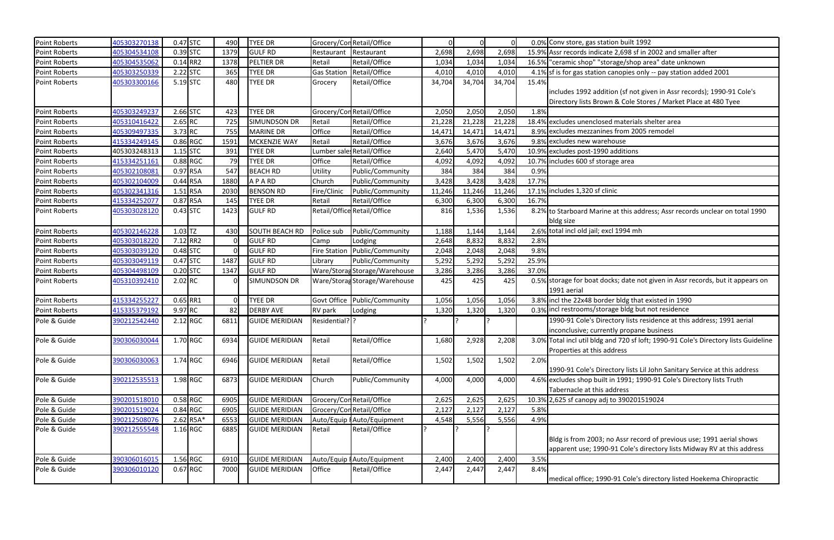| <b>Point Roberts</b> | 405303270138 | $0.47$ STC            | 490      | <b>TYEE DR</b>        |                     | Grocery/Con Retail/Office     | ΩI     | $\overline{0}$ | 0      |       | 0.0% Conv store, gas station built 1992           |
|----------------------|--------------|-----------------------|----------|-----------------------|---------------------|-------------------------------|--------|----------------|--------|-------|---------------------------------------------------|
| <b>Point Roberts</b> | 405304534108 | $0.39$ STC            | 1379     | <b>GULF RD</b>        | Restaurant          | Restaurant                    | 2,698  | 2,698          | 2,698  |       | 15.9% Assr records indicate 2,698 sf in 2002 and  |
| <b>Point Roberts</b> | 405304535062 | $0.14$ RR2            | 1378     | <b>PELTIER DR</b>     | Retail              | Retail/Office                 | 1,034  | 1,034          | 1,034  |       | 16.5% "ceramic shop" "storage/shop area" date     |
| <b>Point Roberts</b> | 405303250339 | $2.22$ STC            | 365      | <b>TYEE DR</b>        | <b>Gas Station</b>  | Retail/Office                 | 4,010  | 4,010          | 4,010  |       | 4.1% sf is for gas station canopies only -- pay s |
| <b>Point Roberts</b> | 405303300166 | $5.19$ STC            | 480      | <b>TYEE DR</b>        | Grocery             | Retail/Office                 | 34,704 | 34,704         | 34,704 | 15.4% |                                                   |
|                      |              |                       |          |                       |                     |                               |        |                |        |       | includes 1992 addition (sf not given in As        |
|                      |              |                       |          |                       |                     |                               |        |                |        |       | Directory lists Brown & Cole Stores / Mar         |
| <b>Point Roberts</b> | 405303249237 | $2.66$ STC            | 423      | <b>TYEE DR</b>        |                     | Grocery/Con Retail/Office     | 2,050  | 2,050          | 2,050  | 1.8%  |                                                   |
| <b>Point Roberts</b> | 405310416422 | $2.65$ RC             | 725      | SIMUNDSON DR          | Retail              | Retail/Office                 | 21,228 | 21,228         | 21,228 |       | 18.4% excludes unenclosed materials shelter ar    |
| <b>Point Roberts</b> | 405309497335 | $3.73$ RC             | 755      | <b>MARINE DR</b>      | Office              | Retail/Office                 | 14,471 | 14,471         | 14,471 |       | 8.9% excludes mezzanines from 2005 remodel        |
| <b>Point Roberts</b> | 415334249145 | $0.86$ <sub>RGC</sub> | 1591     | MCKENZIE WAY          | Retail              | Retail/Office                 | 3,676  | 3,676          | 3,676  |       | 9.8% excludes new warehouse                       |
| <b>Point Roberts</b> | 405303248313 | $1.15$ STC            | 391      | <b>TYEE DR</b>        |                     | Lumber sales Retail/Office    | 2,640  | 5,470          | 5,470  |       | 10.9% excludes post-1990 additions                |
| <b>Point Roberts</b> | 415334251161 | $0.88$ RGC            | 79       | <b>TYEE DR</b>        | Office              | Retail/Office                 | 4,092  | 4,092          | 4,092  |       | 10.7% includes 600 sf storage area                |
| <b>Point Roberts</b> | 405302108081 | $0.97$ <sub>R5A</sub> | 547      | <b>BEACH RD</b>       | Utility             | Public/Community              | 384    | 384            | 384    | 0.9%  |                                                   |
| <b>Point Roberts</b> | 405302104009 | $0.44$ R5A            | 1880     | <b>APARD</b>          | Church              | Public/Community              | 3,428  | 3,428          | 3,428  | 17.7% |                                                   |
| <b>Point Roberts</b> | 405302341316 | $1.51$ R5A            | 2030     | <b>BENSON RD</b>      | Fire/Clinic         | Public/Community              | 11,246 | 11,246         | 11,246 |       | 17.1% includes 1,320 sf clinic                    |
| <b>Point Roberts</b> | 415334252077 | $0.87$ R5A            | 145      | <b>TYEE DR</b>        | Retail              | Retail/Office                 | 6,300  | 6,300          | 6,300  | 16.7% |                                                   |
| <b>Point Roberts</b> | 405303028120 | $0.43$ STC            | 1423     | <b>GULF RD</b>        |                     | Retail/Office Retail/Office   | 816    | 1,536          | 1,536  |       | 8.2% to Starboard Marine at this address; Assr    |
|                      |              |                       |          |                       |                     |                               |        |                |        |       | bldg size                                         |
| <b>Point Roberts</b> | 405302146228 | $1.03$ TZ             | 430      | <b>SOUTH BEACH RD</b> | Police sub          | Public/Community              | 1,188  | 1,144          | 1,144  |       | 2.6% total incl old jail; excl 1994 mh            |
| <b>Point Roberts</b> | 405303018220 | $7.12$ RR2            | $\Omega$ | <b>GULF RD</b>        | Camp                | Lodging                       | 2,648  | 8,832          | 8,832  | 2.8%  |                                                   |
| <b>Point Roberts</b> | 405303039120 | $0.48$ STC            | $\Omega$ | <b>GULF RD</b>        | <b>Fire Station</b> | Public/Community              | 2,048  | 2,048          | 2,048  | 9.8%  |                                                   |
| <b>Point Roberts</b> | 405303049119 | $0.47$ STC            | 1487     | <b>GULF RD</b>        | Library             | Public/Community              | 5,292  | 5,292          | 5,292  | 25.9% |                                                   |
| <b>Point Roberts</b> | 405304498109 | $0.20$ STC            | 1347     | <b>GULF RD</b>        |                     | Ware/Storag Storage/Warehouse | 3,286  | 3,286          | 3,286  | 37.0% |                                                   |
| <b>Point Roberts</b> | 405310392410 | $2.02$ RC             | $\Omega$ | SIMUNDSON DR          |                     | Ware/StoragStorage/Warehouse  | 425    | 425            | 425    |       | 0.5% storage for boat docks; date not given in    |
|                      |              |                       |          |                       |                     |                               |        |                |        |       | 1991 aerial                                       |
| <b>Point Roberts</b> | 415334255227 | $0.65$ <sub>RR1</sub> | $\Omega$ | <b>TYEE DR</b>        | Govt Office         | Public/Community              | 1,056  | 1,056          | 1,056  |       | 3.8% incl the 22x48 border bldg that existed in   |
| <b>Point Roberts</b> | 415335379192 | $9.97$ RC             | 82       | <b>DERBY AVE</b>      | RV park             | Lodging                       | 1,320  | 1,320          | 1,320  |       | 0.3% incl restrooms/storage bldg but not resid    |
| Pole & Guide         | 390212542440 | $2.12$ RGC            | 6811     | <b>GUIDE MERIDIAN</b> | Residential? ?      |                               |        |                |        |       | 1990-91 Cole's Directory lists residence a        |
|                      |              |                       |          |                       |                     |                               |        |                |        |       | inconclusive; currently propane business          |
| Pole & Guide         | 390306030044 | 1.70 RGC              | 6934     | <b>GUIDE MERIDIAN</b> | Retail              | Retail/Office                 | 1,680  | 2,928          | 2,208  |       | 3.0% Total incl util bldg and 720 sf loft; 1990-9 |
|                      |              |                       |          |                       |                     |                               |        |                |        |       | Properties at this address                        |
| Pole & Guide         | 390306030063 | $1.74$ RGC            | 6946     | <b>GUIDE MERIDIAN</b> | Retail              | Retail/Office                 | 1,502  | 1,502          | 1,502  | 2.0%  |                                                   |
|                      |              |                       |          |                       |                     |                               |        |                |        |       | 1990-91 Cole's Directory lists Lil John Sar       |
| Pole & Guide         | 390212535513 | $1.98$ RGC            | 6873     | <b>GUIDE MERIDIAN</b> | Church              | Public/Community              | 4,000  | 4,000          | 4,000  |       | 4.6% excludes shop built in 1991; 1990-91 Cold    |
|                      |              |                       |          |                       |                     |                               |        |                |        |       | Tabernacle at this address                        |
| Pole & Guide         | 390201518010 | $0.58$ RGC            | 6905     | <b>GUIDE MERIDIAN</b> |                     | Grocery/Con Retail/Office     | 2,625  | 2,625          | 2,625  |       | 10.3% 2,625 sf canopy adj to 390201519024         |
| Pole & Guide         | 390201519024 | $0.84$ RGC            | 6905     | <b>GUIDE MERIDIAN</b> |                     | Grocery/Con Retail/Office     | 2,127  | 2,127          | 2,127  | 5.8%  |                                                   |
| Pole & Guide         | 390212508076 | $2.62$ R5A*           | 6553     | <b>GUIDE MERIDIAN</b> |                     | Auto/Equip I Auto/Equipment   | 4,548  | 5,556          | 5,556  | 4.9%  |                                                   |
| Pole & Guide         | 390212555548 | $1.16$ RGC            | 6885     | <b>GUIDE MERIDIAN</b> | Retail              | Retail/Office                 |        |                |        |       |                                                   |
|                      |              |                       |          |                       |                     |                               |        |                |        |       | Bldg is from 2003; no Assr record of prev         |
|                      |              |                       |          |                       |                     |                               |        |                |        |       | apparent use; 1990-91 Cole's directory lis        |
| Pole & Guide         | 390306016015 | 1.56 RGC              | 6910     | <b>GUIDE MERIDIAN</b> |                     | Auto/Equip   Auto/Equipment   | 2,400  | 2,400          | 2,400  | 3.5%  |                                                   |
| Pole & Guide         | 390306010120 | $0.67$ RGC            | 7000     | <b>GUIDE MERIDIAN</b> | Office              | Retail/Office                 | 2,447  | 2,447          | 2,447  | 8.4%  |                                                   |
|                      |              |                       |          |                       |                     |                               |        |                |        |       | medical office; 1990-91 Cole's directory I        |
|                      |              |                       |          |                       |                     |                               |        |                |        |       |                                                   |

e 2,698 sf in 2002 and smaller after

rage/shop area" date unknown

anopies only -- pay station added 2001

on (sf not given in Assr records); 1990-91 Cole's n & Cole Stores / Market Place at 480 Tyee

1 materials shelter area

to at this address; Assr records unclear on total 1990

ks; date not given in Assr records, but it appears on

Por bldg that existed in 1990

age bldg but not residence

ctory lists residence at this address; 1991 aerial tly propane business

nd 720 sf loft; 1990-91 Cole's Directory lists Guideline dress

ctory lists Lil John Sanitary Service at this address In 1991; 1990-91 Cole's Directory lists Truth ddress

o Assr record of previous use; 1991 aerial shows -91 Cole's directory lists Midway RV at this address

-91 Cole's directory listed Hoekema Chiropractic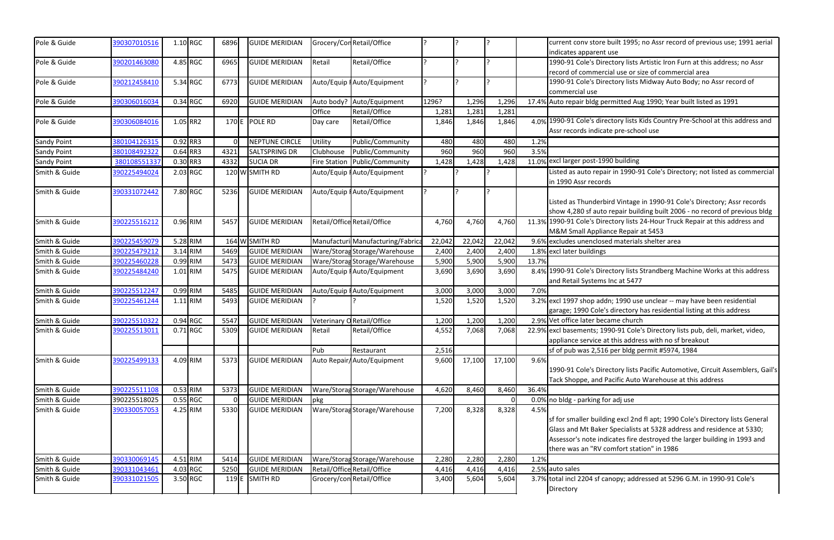Smith & Guide [390225513011](http://www.whatcomcounty.us/pds/plan/long/projects/lamird/pdf/390225513011.pdf) 0.71 RGC 5309 GUIDE MERIDIAN Retail Retail/Office 4,552 7,068 7,068 22.9% excl basements; 1990-91 Cole's Directory lists pub, deli, market, video, this address with no sf breakout

per bldg permit #5974, 1984

ttory lists Pacific Automotive, Circuit Assemblers, Gail's acific Auto Warehouse at this address

ig excl 2nd fl apt; 1990 Cole's Directory lists General Specialists at 5328 address and residence at 5330; cates fire destroyed the larger building in 1993 and mfort station" in 1986

opy; addressed at 5296 G.M. in 1990-91 Cole's

| Pole & Guide       | 390307010516 | $1.10$ RGC            | 6896           | <b>GUIDE MERIDIAN</b> |           | Grocery/Con Retail/Office         |        |        | 12     |       | current conv store built 1995;         |
|--------------------|--------------|-----------------------|----------------|-----------------------|-----------|-----------------------------------|--------|--------|--------|-------|----------------------------------------|
|                    |              |                       |                |                       |           |                                   |        |        |        |       | indicates apparent use                 |
| Pole & Guide       | 390201463080 | $4.85$ RGC            | 6965           | <b>GUIDE MERIDIAN</b> | Retail    | Retail/Office                     |        |        |        |       | 1990-91 Cole's Directory lists A       |
|                    |              |                       |                |                       |           |                                   |        |        |        |       | record of commercial use or si:        |
| Pole & Guide       | 390212458410 | $5.34$ RGC            | 6773           | <b>GUIDE MERIDIAN</b> |           | Auto/Equip   Auto/Equipment       | ว      |        |        |       | 1990-91 Cole's Directory lists N       |
|                    |              |                       |                |                       |           |                                   |        |        |        |       | commercial use                         |
| Pole & Guide       | 390306016034 | $0.34$ RGC            | 6920           | <b>GUIDE MERIDIAN</b> |           | Auto body? Auto/Equipment         | 1296?  | 1,296  | 1,296  |       | 17.4% Auto repair bldg permitted Aug   |
|                    |              |                       |                |                       | Office    | Retail/Office                     | 1,281  | 1,281  | 1,281  |       |                                        |
| Pole & Guide       | 390306084016 | $1.05$ RR2            |                | 170E POLE RD          | Day care  | Retail/Office                     | 1,846  | 1,846  | 1,846  |       | 4.0% 1990-91 Cole's directory lists K  |
|                    |              |                       |                |                       |           |                                   |        |        |        |       | Assr records indicate pre-schoo        |
| <b>Sandy Point</b> | 380104126315 | $0.92$ RR3            | 0I             | <b>NEPTUNE CIRCLE</b> | Utility   | Public/Community                  | 480    | 480    | 480    | 1.2%  |                                        |
| <b>Sandy Point</b> | 380108492322 | $0.64$ RR3            | 4321           | <b>SALTSPRING DR</b>  | Clubhouse | Public/Community                  | 960    | 960    | 960    | 3.5%  |                                        |
| <b>Sandy Point</b> | 380108551337 | $0.30$ <sub>RR3</sub> | 4332           | <b>SUCIA DR</b>       |           | Fire Station   Public/Community   | 1,428  | 1,428  | 1,428  |       | 11.0% excl larger post-1990 building   |
| Smith & Guide      | 390225494024 | $2.03$ RGC            |                | 120 W SMITH RD        |           | Auto/Equip HAuto/Equipment        |        |        |        |       | Listed as auto repair in 1990-9:       |
|                    |              |                       |                |                       |           |                                   |        |        |        |       | in 1990 Assr records                   |
| Smith & Guide      | 390331072442 | $7.80$ RGC            | 5236           | <b>GUIDE MERIDIAN</b> |           | Auto/Equip   Auto/Equipment       |        |        |        |       |                                        |
|                    |              |                       |                |                       |           |                                   |        |        |        |       | Listed as Thunderbird Vintage i        |
|                    |              |                       |                |                       |           |                                   |        |        |        |       | show 4,280 sf auto repair build        |
| Smith & Guide      | 390225516212 | $0.96$ RIM            | 5457           | <b>GUIDE MERIDIAN</b> |           | Retail/Office Retail/Office       | 4,760  | 4,760  | 4,760  |       | 11.3% 1990-91 Cole's Directory lists 2 |
|                    |              |                       |                |                       |           |                                   |        |        |        |       | M&M Small Appliance Repair a           |
| Smith & Guide      | 390225459079 | $5.28$ RIM            |                | 164 WSMITH RD         |           | Manufacturi Manufacturing/Fabrica | 22,042 | 22,042 | 22,042 |       | 9.6% excludes unenclosed materials     |
| Smith & Guide      | 390225479212 | $3.14$ RIM            | 5469           | <b>GUIDE MERIDIAN</b> |           | Ware/Storag Storage/Warehouse     | 2,400  | 2,400  | 2,400  |       | 1.8% excl later buildings              |
| Smith & Guide      | 390225460228 | $0.99$ RIM            | 5473           | <b>GUIDE MERIDIAN</b> |           | Ware/StoragStorage/Warehouse      | 5,900  | 5,900  | 5,900  | 13.7% |                                        |
| Smith & Guide      | 390225484240 | $1.01$ RIM            | 5475           | <b>GUIDE MERIDIAN</b> |           | Auto/Equip HAuto/Equipment        | 3,690  | 3,690  | 3,690  |       | 8.4% 1990-91 Cole's Directory lists S  |
|                    |              |                       |                |                       |           |                                   |        |        |        |       | and Retail Systems Inc at 5477         |
| Smith & Guide      | 390225512247 | $0.99$ RIM            | 5485           | <b>GUIDE MERIDIAN</b> |           | Auto/Equip   Auto/Equipment       | 3,000  | 3,000  | 3,000  | 7.0%  |                                        |
| Smith & Guide      | 390225461244 | $1.11$ RIM            | 5493           | <b>GUIDE MERIDIAN</b> |           |                                   | 1,520  | 1,520  | 1,520  |       | 3.2% excl 1997 shop addn; 1990 use     |
|                    |              |                       |                |                       |           |                                   |        |        |        |       | garage; 1990 Cole's directory h        |
| Smith & Guide      | 390225510322 | $0.94$ RGC            | 5547           | <b>GUIDE MERIDIAN</b> |           | Veterinary ORetail/Office         | 1,200  | 1,200  | 1,200  |       | 2.9% Vet office later became church    |
| Smith & Guide      | 390225513011 | $0.71$ RGC            | 5309           | <b>GUIDE MERIDIAN</b> | Retail    | Retail/Office                     | 4,552  | 7,068  | 7,068  |       | 22.9% excl basements; 1990-91 Cole's   |
|                    |              |                       |                |                       |           |                                   |        |        |        |       | appliance service at this addres       |
|                    |              |                       |                |                       | Pub       | Restaurant                        | 2,516  |        |        |       | sf of pub was 2,516 per bldg pe        |
| Smith & Guide      | 390225499133 | $4.09$ RIM            | 5373           | <b>GUIDE MERIDIAN</b> |           | Auto Repair/Auto/Equipment        | 9,600  | 17,100 | 17,100 | 9.6%  |                                        |
|                    |              |                       |                |                       |           |                                   |        |        |        |       | 1990-91 Cole's Directory lists P       |
|                    |              |                       |                |                       |           |                                   |        |        |        |       | Tack Shoppe, and Pacific Auto          |
| Smith & Guide      | 390225511108 | $0.53$ RIM            | 5373           | <b>GUIDE MERIDIAN</b> |           | Ware/StoragStorage/Warehouse      | 4,620  | 8,460  | 8,460  | 36.4% |                                        |
| Smith & Guide      | 390225518025 | $0.55$ RGC            | $\overline{0}$ | <b>GUIDE MERIDIAN</b> | pkg       |                                   |        |        |        |       | 0.0% no bldg - parking for adj use     |
| Smith & Guide      | 390330057053 | $4.25$ RIM            | 5330           | <b>GUIDE MERIDIAN</b> |           | Ware/Storag Storage/Warehouse     | 7,200  | 8,328  | 8,328  | 4.5%  |                                        |
|                    |              |                       |                |                       |           |                                   |        |        |        |       | sf for smaller building excl 2nd       |
|                    |              |                       |                |                       |           |                                   |        |        |        |       | <b>Glass and Mt Baker Specialists</b>  |
|                    |              |                       |                |                       |           |                                   |        |        |        |       | Assessor's note indicates fire d       |
|                    |              |                       |                |                       |           |                                   |        |        |        |       | there was an "RV comfort stati         |
| Smith & Guide      | 390330069145 | $4.51$ RIM            | 5414           | <b>GUIDE MERIDIAN</b> |           | Ware/StoragStorage/Warehouse      | 2,280  | 2,280  | 2,280  | 1.2%  |                                        |
| Smith & Guide      | 390331043461 | $4.03$ RGC            | 5250           | <b>GUIDE MERIDIAN</b> |           | Retail/Office Retail/Office       | 4,416  | 4,416  | 4,416  |       | 2.5% auto sales                        |
| Smith & Guide      | 390331021505 | 3.50 RGC              |                | 119E SMITH RD         |           | Grocery/con Retail/Office         | 3,400  | 5,604  | 5,604  |       | 3.7% total incl 2204 sf canopy; addre  |
|                    |              |                       |                |                       |           |                                   |        |        |        |       | Directory                              |
|                    |              |                       |                |                       |           |                                   |        |        |        |       |                                        |

uilt 1995; no Assr record of previous use; 1991 aerial ise

tory lists Artistic Iron Furn at this address; no Assr al use or size of commercial area

Pole 350 Fuguide 3302125 Fulto State 3.34 Rectors<br>The Body; no Assr record of

mitted Aug 1990; Year built listed as 1991

tory lists Kids Country Pre-School at this address and e pre-school use

in 1990-91 Cole's Directory; not listed as commercial

d Vintage in 1990-91 Cole's Directory; Assr records epair building built 2006 - no record of previous bldg ctory lists 24-Hour Truck Repair at this address and ce Repair at 5453

I materials shelter area

Etory lists Strandberg Machine Works at this address nc at 5477

n; 1990 use unclear -- may have been residential directory has residential listing at this address